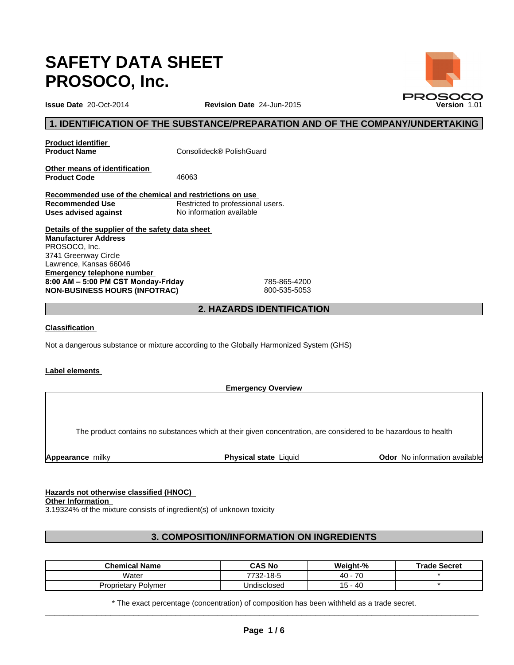# **SAFETY DATA SHEET PROSOCO, Inc.**

# **1. IDENTIFICATION OF THE SUBSTANCE/PREPARATION AND OF THE COMPANY/UNDERTAKING**

**Product identifier<br>Product Name** 

**Product Name** Consolideck® PolishGuard

**Other means of identification**  Product Code 46063

**Recommended use of the chemical and restrictions on use Recommended Use** Restricted to professional users.<br> **Uses advised against** No information available **Uses advised against** 

**Details of the supplier of the safety data sheet Emergency telephone number**  8:00 AM - 5:00 PM CST Monday-Friday 785-865-4200 **NON-BUSINESS HOURS (INFOTRAC)** 800-535-5053 **Manufacturer Address** PROSOCO, Inc. 3741 Greenway Circle Lawrence, Kansas 66046

# **2. HAZARDS IDENTIFICATION**

**Classification** 

Not a dangerous substance or mixture according to the Globally Harmonized System (GHS)

#### **Label elements**

**Emergency Overview**

The product contains no substances which at their given concentration, are considered to be hazardous to health

**Appearance** milky **Physical state** Liquid **Odor No information available Appearance** milky

# **Hazards not otherwise classified (HNOC)**

**Other Information** 

3.19324% of the mixture consists of ingredient(s) of unknown toxicity

# **3. COMPOSITION/INFORMATION ON INGREDIENTS**

| <b>Chemical Name</b>   | <b>CAS No</b>    | Weight-%        | <b>Trade Secret</b> |
|------------------------|------------------|-----------------|---------------------|
| Water                  | 7722<br>732-18-5 | 70<br>40<br>' L |                     |
| v Polvmer<br>roprietar | Undisclosed      | -40             |                     |

\* The exact percentage (concentration) of composition has been withheld as a trade secret.  $\_$  ,  $\_$  ,  $\_$  ,  $\_$  ,  $\_$  ,  $\_$  ,  $\_$  ,  $\_$  ,  $\_$  ,  $\_$  ,  $\_$  ,  $\_$  ,  $\_$  ,  $\_$  ,  $\_$  ,  $\_$  ,  $\_$  ,  $\_$  ,  $\_$  ,  $\_$  ,  $\_$  ,  $\_$  ,  $\_$  ,  $\_$  ,  $\_$  ,  $\_$  ,  $\_$  ,  $\_$  ,  $\_$  ,  $\_$  ,  $\_$  ,  $\_$  ,  $\_$  ,  $\_$  ,  $\_$  ,  $\_$  ,  $\_$  ,

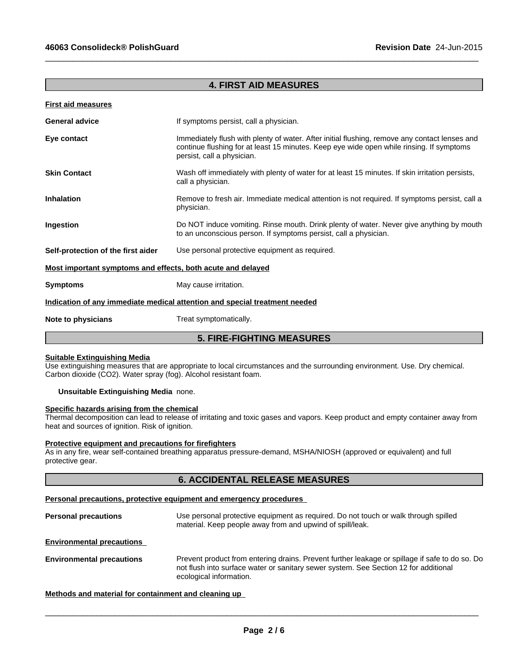# **4. FIRST AID MEASURES**

 $\_$  ,  $\_$  ,  $\_$  ,  $\_$  ,  $\_$  ,  $\_$  ,  $\_$  ,  $\_$  ,  $\_$  ,  $\_$  ,  $\_$  ,  $\_$  ,  $\_$  ,  $\_$  ,  $\_$  ,  $\_$  ,  $\_$  ,  $\_$  ,  $\_$  ,  $\_$  ,  $\_$  ,  $\_$  ,  $\_$  ,  $\_$  ,  $\_$  ,  $\_$  ,  $\_$  ,  $\_$  ,  $\_$  ,  $\_$  ,  $\_$  ,  $\_$  ,  $\_$  ,  $\_$  ,  $\_$  ,  $\_$  ,  $\_$  ,

| <b>First aid measures</b>                                   |                                                                                                                                                                                                                         |
|-------------------------------------------------------------|-------------------------------------------------------------------------------------------------------------------------------------------------------------------------------------------------------------------------|
| <b>General advice</b>                                       | If symptoms persist, call a physician.                                                                                                                                                                                  |
| Eye contact                                                 | Immediately flush with plenty of water. After initial flushing, remove any contact lenses and<br>continue flushing for at least 15 minutes. Keep eye wide open while rinsing. If symptoms<br>persist, call a physician. |
| <b>Skin Contact</b>                                         | Wash off immediately with plenty of water for at least 15 minutes. If skin irritation persists,<br>call a physician.                                                                                                    |
| <b>Inhalation</b>                                           | Remove to fresh air. Immediate medical attention is not required. If symptoms persist, call a<br>physician.                                                                                                             |
| Ingestion                                                   | Do NOT induce vomiting. Rinse mouth. Drink plenty of water. Never give anything by mouth<br>to an unconscious person. If symptoms persist, call a physician.                                                            |
| Self-protection of the first aider                          | Use personal protective equipment as required.                                                                                                                                                                          |
| Most important symptoms and effects, both acute and delayed |                                                                                                                                                                                                                         |
| <b>Symptoms</b>                                             | May cause irritation.                                                                                                                                                                                                   |
|                                                             | Indication of any immediate medical attention and special treatment needed                                                                                                                                              |
| Note to physicians                                          | Treat symptomatically.                                                                                                                                                                                                  |
|                                                             | <b>5. FIRE-FIGHTING MEASURES</b>                                                                                                                                                                                        |
|                                                             |                                                                                                                                                                                                                         |

## **Suitable Extinguishing Media**

Use extinguishing measures that are appropriate to local circumstances and the surrounding environment. Use. Dry chemical. Carbon dioxide (CO2). Water spray (fog). Alcohol resistant foam.

#### **Unsuitable Extinguishing Media** none.

#### **Specific hazards arising from the chemical**

Thermal decomposition can lead to release of irritating and toxic gases and vapors. Keep product and empty container away from heat and sources of ignition. Risk of ignition.

#### **Protective equipment and precautions for firefighters**

As in any fire, wear self-contained breathing apparatus pressure-demand, MSHA/NIOSH (approved or equivalent) and full protective gear.

# **6. ACCIDENTAL RELEASE MEASURES**

#### **Personal precautions, protective equipment and emergency procedures**

| <b>Personal precautions</b> | Use personal protective equipment as required. Do not touch or walk through spilled<br>material. Keep people away from and upwind of spill/leak. |
|-----------------------------|--------------------------------------------------------------------------------------------------------------------------------------------------|
|                             |                                                                                                                                                  |

**Environmental precautions** 

**Environmental precautions** Prevent product from entering drains. Prevent further leakage or spillage if safe to do so. Do not flush into surface water or sanitary sewer system. See Section 12 for additional ecological information.

### **Methods and material for containment and cleaning up**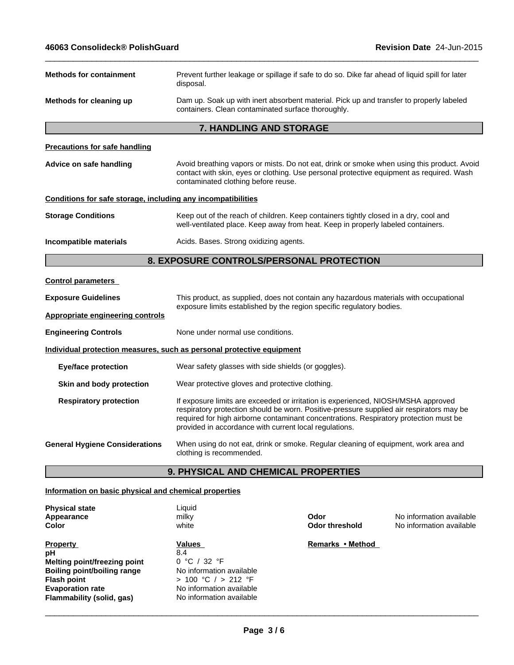| <b>Methods for containment</b>                               | Prevent further leakage or spillage if safe to do so. Dike far ahead of liquid spill for later<br>disposal.                                                                                                                                                                                                                      |  |  |
|--------------------------------------------------------------|----------------------------------------------------------------------------------------------------------------------------------------------------------------------------------------------------------------------------------------------------------------------------------------------------------------------------------|--|--|
| Methods for cleaning up                                      | Dam up. Soak up with inert absorbent material. Pick up and transfer to properly labeled<br>containers. Clean contaminated surface thoroughly.                                                                                                                                                                                    |  |  |
|                                                              | 7. HANDLING AND STORAGE                                                                                                                                                                                                                                                                                                          |  |  |
| <b>Precautions for safe handling</b>                         |                                                                                                                                                                                                                                                                                                                                  |  |  |
| Advice on safe handling                                      | Avoid breathing vapors or mists. Do not eat, drink or smoke when using this product. Avoid<br>contact with skin, eyes or clothing. Use personal protective equipment as required. Wash<br>contaminated clothing before reuse.                                                                                                    |  |  |
| Conditions for safe storage, including any incompatibilities |                                                                                                                                                                                                                                                                                                                                  |  |  |
| <b>Storage Conditions</b>                                    | Keep out of the reach of children. Keep containers tightly closed in a dry, cool and<br>well-ventilated place. Keep away from heat. Keep in properly labeled containers.                                                                                                                                                         |  |  |
| Incompatible materials                                       | Acids. Bases. Strong oxidizing agents.                                                                                                                                                                                                                                                                                           |  |  |
|                                                              | 8. EXPOSURE CONTROLS/PERSONAL PROTECTION                                                                                                                                                                                                                                                                                         |  |  |
| <b>Control parameters</b>                                    |                                                                                                                                                                                                                                                                                                                                  |  |  |
| <b>Exposure Guidelines</b>                                   | This product, as supplied, does not contain any hazardous materials with occupational<br>exposure limits established by the region specific regulatory bodies.                                                                                                                                                                   |  |  |
| <b>Appropriate engineering controls</b>                      |                                                                                                                                                                                                                                                                                                                                  |  |  |
| <b>Engineering Controls</b>                                  | None under normal use conditions.                                                                                                                                                                                                                                                                                                |  |  |
|                                                              | Individual protection measures, such as personal protective equipment                                                                                                                                                                                                                                                            |  |  |
| <b>Eye/face protection</b>                                   | Wear safety glasses with side shields (or goggles).                                                                                                                                                                                                                                                                              |  |  |
| Skin and body protection                                     | Wear protective gloves and protective clothing.                                                                                                                                                                                                                                                                                  |  |  |
| <b>Respiratory protection</b>                                | If exposure limits are exceeded or irritation is experienced, NIOSH/MSHA approved<br>respiratory protection should be worn. Positive-pressure supplied air respirators may be<br>required for high airborne contaminant concentrations. Respiratory protection must be<br>provided in accordance with current local regulations. |  |  |
| <b>General Hygiene Considerations</b>                        | When using do not eat, drink or smoke. Regular cleaning of equipment, work area and<br>clothing is recommended.                                                                                                                                                                                                                  |  |  |
|                                                              | 9. PHYSICAL AND CHEMICAL PROPERTIES                                                                                                                                                                                                                                                                                              |  |  |

| <b>Physical state</b><br>Appearance<br>Color                                                                                                                              | Liquid<br>milky<br>white                                                                                                                 | Odor<br>Odor threshold | No information available<br>No information available |
|---------------------------------------------------------------------------------------------------------------------------------------------------------------------------|------------------------------------------------------------------------------------------------------------------------------------------|------------------------|------------------------------------------------------|
| <b>Property</b><br>рH<br>Melting point/freezing point<br><b>Boiling point/boiling range</b><br><b>Flash point</b><br><b>Evaporation rate</b><br>Flammability (solid, gas) | Values<br>8.4<br>0 °C / 32 °F<br>No information available<br>> 100 °C / > 212 °F<br>No information available<br>No information available | Remarks • Method       |                                                      |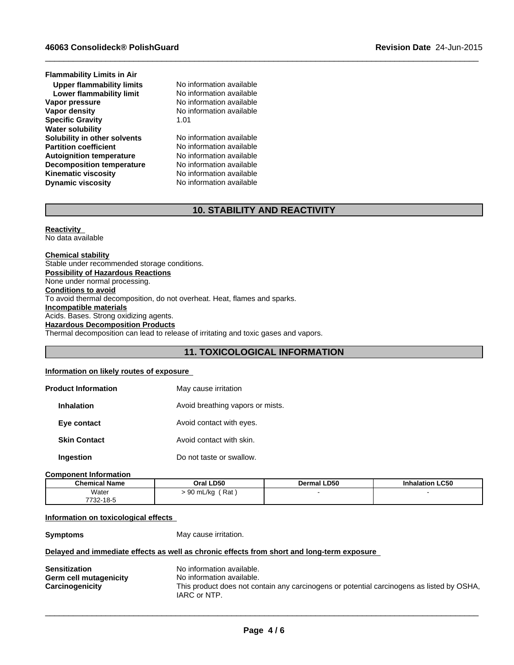**Lower flammability limit** No information available<br> **Vapor pressure** No information available **Autoignition temperature No information available**<br> **Decomposition temperature No information available Decomposition temperature** No information available<br> **Kinematic viscosity** No information available **Kinematic viscosity**<br>Dynamic viscosity **Vapor density**<br>
Specific Gravity<br>  $\begin{array}{ccc} 1.01 & 1.01 \end{array}$ **Specific Gravity Upper flammability limits** No information available **Water solubility**<br> **Solubility in other solvents** Mo information available **Solubility in other solvents Flammability Limits in Air Partition coefficient** No information available

**No information available** 

**Dynamic viscosity** No information available

# **10. STABILITY AND REACTIVITY**

 $\_$  ,  $\_$  ,  $\_$  ,  $\_$  ,  $\_$  ,  $\_$  ,  $\_$  ,  $\_$  ,  $\_$  ,  $\_$  ,  $\_$  ,  $\_$  ,  $\_$  ,  $\_$  ,  $\_$  ,  $\_$  ,  $\_$  ,  $\_$  ,  $\_$  ,  $\_$  ,  $\_$  ,  $\_$  ,  $\_$  ,  $\_$  ,  $\_$  ,  $\_$  ,  $\_$  ,  $\_$  ,  $\_$  ,  $\_$  ,  $\_$  ,  $\_$  ,  $\_$  ,  $\_$  ,  $\_$  ,  $\_$  ,  $\_$  ,

**Reactivity**  No data available

**Chemical stability** Stable under recommended storage conditions. **Possibility of Hazardous Reactions** None under normal processing. **Conditions to avoid** To avoid thermal decomposition, do not overheat. Heat, flames and sparks. **Incompatible materials** Acids. Bases. Strong oxidizing agents. **Hazardous Decomposition Products** Thermal decomposition can lead to release of irritating and toxic gases and vapors.

# **11. TOXICOLOGICAL INFORMATION**

#### **Information on likely routes of exposure**

| <b>Product Information</b> | May cause irritation             |
|----------------------------|----------------------------------|
| <b>Inhalation</b>          | Avoid breathing vapors or mists. |
| Eye contact                | Avoid contact with eyes.         |
| <b>Skin Contact</b>        | Avoid contact with skin.         |
| <b>Ingestion</b>           | Do not taste or swallow.         |

#### **Component Information**

| <b>Chemical Name</b> | Oral LD50       | Dermal LD50 | <b>Inhalation LC50</b> |  |
|----------------------|-----------------|-------------|------------------------|--|
| Water                | Rat<br>90 mL/kg |             |                        |  |
| 7732-18-5            |                 |             |                        |  |

# **Information on toxicological effects**

**Symptoms** May cause irritation.

#### **Delayed and immediate effects as well as chronic effects from short and long-term exposure**

| <b>Sensitization</b>   | No information available.                                                                 |
|------------------------|-------------------------------------------------------------------------------------------|
| Germ cell mutagenicity | No information available.                                                                 |
| Carcinogenicity        | This product does not contain any carcinogens or potential carcinogens as listed by OSHA, |
|                        | IARC or NTP.                                                                              |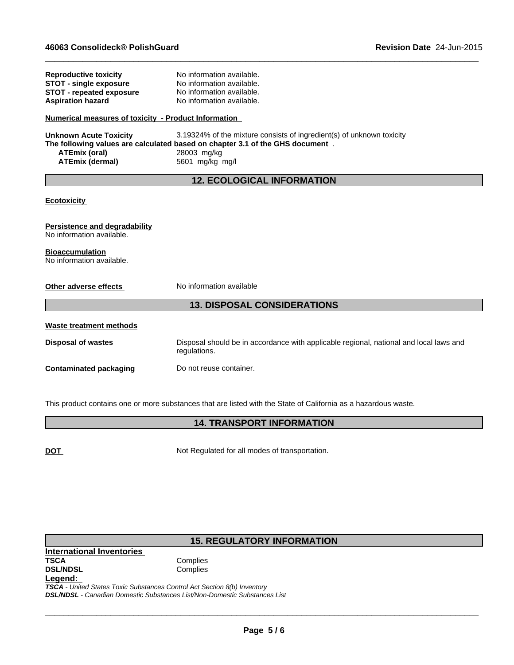**STOT - single exposure** 

**Reproductive toxicity** No information available.<br> **STOT - single exposure** No information available.

| <b>STOT - repeated exposure</b>                      | No information available.                                                              |
|------------------------------------------------------|----------------------------------------------------------------------------------------|
| <b>Aspiration hazard</b>                             | No information available.                                                              |
| Numerical measures of toxicity - Product Information |                                                                                        |
| <b>Unknown Acute Toxicity</b>                        | 3.19324% of the mixture consists of ingredient(s) of unknown toxicity                  |
|                                                      | The following values are calculated based on chapter 3.1 of the GHS document.          |
| <b>ATEmix (oral)</b><br><b>ATEmix (dermal)</b>       | 28003 mg/kg<br>5601 mg/kg mg/l                                                         |
|                                                      |                                                                                        |
|                                                      | <b>12. ECOLOGICAL INFORMATION</b>                                                      |
| <b>Ecotoxicity</b>                                   |                                                                                        |
| <b>Persistence and degradability</b>                 |                                                                                        |
| No information available.                            |                                                                                        |
| <b>Bioaccumulation</b>                               |                                                                                        |
| No information available.                            |                                                                                        |
| Other adverse effects                                | No information available                                                               |
|                                                      | <b>13. DISPOSAL CONSIDERATIONS</b>                                                     |
| <b>Waste treatment methods</b>                       |                                                                                        |
| <b>Disposal of wastes</b>                            | Disposal should be in accordance with applicable regional, national and local laws and |
|                                                      | regulations.                                                                           |
| <b>Contaminated packaging</b>                        | Do not reuse container.                                                                |
|                                                      |                                                                                        |
|                                                      |                                                                                        |

 $\_$  ,  $\_$  ,  $\_$  ,  $\_$  ,  $\_$  ,  $\_$  ,  $\_$  ,  $\_$  ,  $\_$  ,  $\_$  ,  $\_$  ,  $\_$  ,  $\_$  ,  $\_$  ,  $\_$  ,  $\_$  ,  $\_$  ,  $\_$  ,  $\_$  ,  $\_$  ,  $\_$  ,  $\_$  ,  $\_$  ,  $\_$  ,  $\_$  ,  $\_$  ,  $\_$  ,  $\_$  ,  $\_$  ,  $\_$  ,  $\_$  ,  $\_$  ,  $\_$  ,  $\_$  ,  $\_$  ,  $\_$  ,  $\_$  ,

This product contains one or more substances that are listed with the State of California as a hazardous waste.

# **14. TRANSPORT INFORMATION**

**DOT** Not Regulated for all modes of transportation.

# **15. REGULATORY INFORMATION**

**International Inventories DSL/NDSL Legend:** 

*TSCA - United States Toxic Substances Control Act Section 8(b) Inventory DSL/NDSL - Canadian Domestic Substances List/Non-Domestic Substances List*

**Complies**<br>Complies